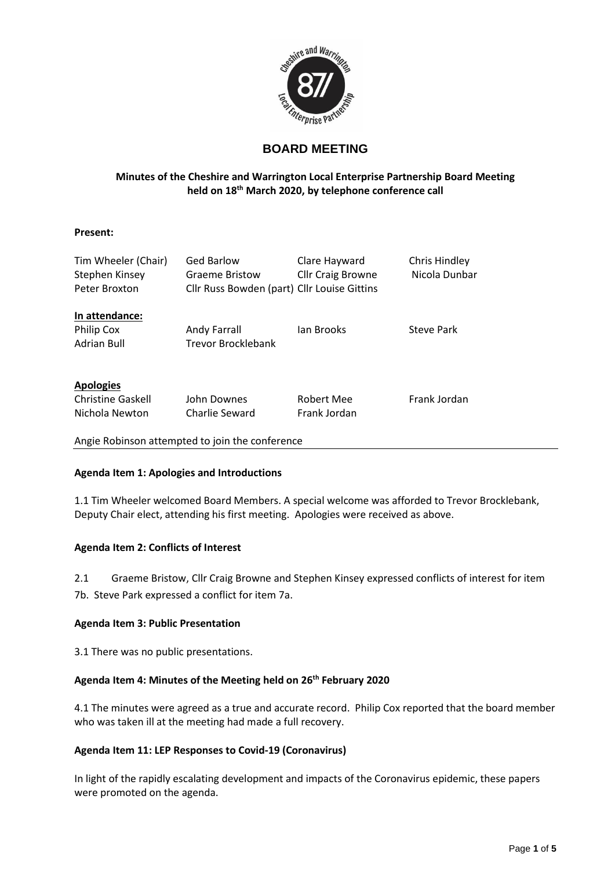

# **BOARD MEETING**

# **Minutes of the Cheshire and Warrington Local Enterprise Partnership Board Meeting held on 18th March 2020, by telephone conference call**

#### **Present:**

| Tim Wheeler (Chair)<br>Stephen Kinsey<br>Peter Broxton | <b>Ged Barlow</b><br><b>Graeme Bristow</b><br>Cllr Russ Bowden (part) Cllr Louise Gittins | Clare Hayward<br><b>Cllr Craig Browne</b> | Chris Hindley<br>Nicola Dunbar |
|--------------------------------------------------------|-------------------------------------------------------------------------------------------|-------------------------------------------|--------------------------------|
| In attendance:                                         |                                                                                           |                                           |                                |
| Philip Cox                                             | Andy Farrall                                                                              | lan Brooks                                | Steve Park                     |
| <b>Adrian Bull</b>                                     | <b>Trevor Brocklebank</b>                                                                 |                                           |                                |
| <b>Apologies</b>                                       |                                                                                           |                                           |                                |
| <b>Christine Gaskell</b>                               | John Downes                                                                               | Robert Mee                                | Frank Jordan                   |
| Nichola Newton                                         | Charlie Seward                                                                            | Frank Jordan                              |                                |
|                                                        |                                                                                           |                                           |                                |

Angie Robinson attempted to join the conference

#### **Agenda Item 1: Apologies and Introductions**

1.1 Tim Wheeler welcomed Board Members. A special welcome was afforded to Trevor Brocklebank, Deputy Chair elect, attending his first meeting. Apologies were received as above.

## **Agenda Item 2: Conflicts of Interest**

2.1 Graeme Bristow, Cllr Craig Browne and Stephen Kinsey expressed conflicts of interest for item

7b. Steve Park expressed a conflict for item 7a.

## **Agenda Item 3: Public Presentation**

3.1 There was no public presentations.

# **Agenda Item 4: Minutes of the Meeting held on 26th February 2020**

4.1 The minutes were agreed as a true and accurate record. Philip Cox reported that the board member who was taken ill at the meeting had made a full recovery.

## **Agenda Item 11: LEP Responses to Covid-19 (Coronavirus)**

In light of the rapidly escalating development and impacts of the Coronavirus epidemic, these papers were promoted on the agenda.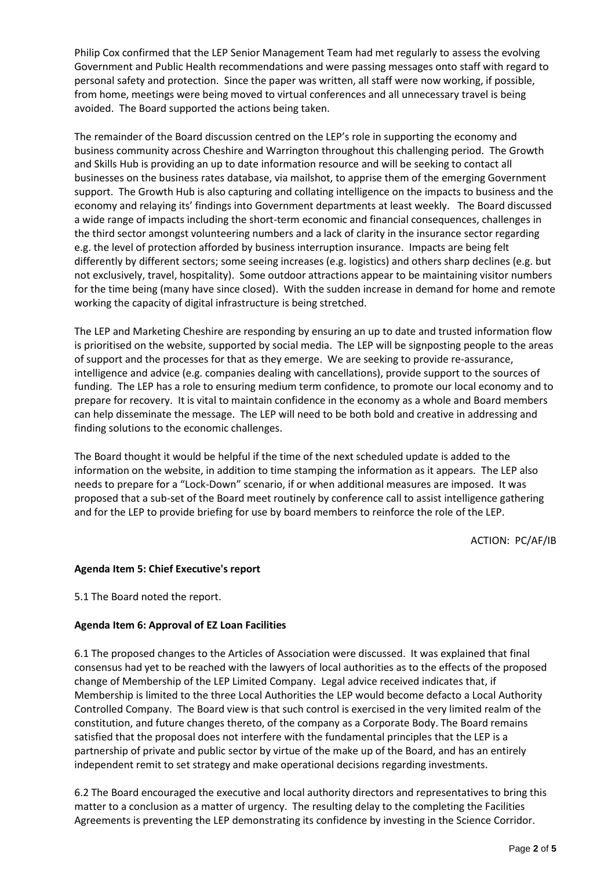Philip Cox confirmed that the LEP Senior Management Team had met regularly to assess the evolving Government and Public Health recommendations and were passing messages onto staff with regard to personal safety and protection. Since the paper was written, all staff were now working, if possible, from home, meetings were being moved to virtual conferences and all unnecessary travel is being avoided. The Board supported the actions being taken.

The remainder of the Board discussion centred on the LEP's role in supporting the economy and business community across Cheshire and Warrington throughout this challenging period. The Growth and Skills Hub is providing an up to date information resource and will be seeking to contact all businesses on the business rates database, via mailshot, to apprise them of the emerging Government support. The Growth Hub is also capturing and collating intelligence on the impacts to business and the economy and relaying its' findings into Government departments at least weekly. The Board discussed a wide range of impacts including the short-term economic and financial consequences, challenges in the third sector amongst volunteering numbers and a lack of clarity in the insurance sector regarding e.g. the level of protection afforded by business interruption insurance. Impacts are being felt differently by different sectors; some seeing increases (e.g. logistics) and others sharp declines (e.g. but not exclusively, travel, hospitality). Some outdoor attractions appear to be maintaining visitor numbers for the time being (many have since closed). With the sudden increase in demand for home and remote working the capacity of digital infrastructure is being stretched.

The LEP and Marketing Cheshire are responding by ensuring an up to date and trusted information flow is prioritised on the website, supported by social media. The LEP will be signposting people to the areas of support and the processes for that as they emerge. We are seeking to provide re-assurance, intelligence and advice (e.g. companies dealing with cancellations), provide support to the sources of funding. The LEP has a role to ensuring medium term confidence, to promote our local economy and to prepare for recovery. It is vital to maintain confidence in the economy as a whole and Board members can help disseminate the message. The LEP will need to be both bold and creative in addressing and finding solutions to the economic challenges.

The Board thought it would be helpful if the time of the next scheduled update is added to the information on the website, in addition to time stamping the information as it appears. The LEP also needs to prepare for a "Lock-Down" scenario, if or when additional measures are imposed. It was proposed that a sub-set of the Board meet routinely by conference call to assist intelligence gathering and for the LEP to provide briefing for use by board members to reinforce the role of the LEP.

ACTION: PC/AF/IB

#### **Agenda Item 5: Chief Executive's report**

5.1 The Board noted the report.

#### **Agenda Item 6: Approval of EZ Loan Facilities**

6.1 The proposed changes to the Articles of Association were discussed. It was explained that final consensus had yet to be reached with the lawyers of local authorities as to the effects of the proposed change of Membership of the LEP Limited Company. Legal advice received indicates that, if Membership is limited to the three Local Authorities the LEP would become defacto a Local Authority Controlled Company. The Board view is that such control is exercised in the very limited realm of the constitution, and future changes thereto, of the company as a Corporate Body. The Board remains satisfied that the proposal does not interfere with the fundamental principles that the LEP is a partnership of private and public sector by virtue of the make up of the Board, and has an entirely independent remit to set strategy and make operational decisions regarding investments.

6.2 The Board encouraged the executive and local authority directors and representatives to bring this matter to a conclusion as a matter of urgency. The resulting delay to the completing the Facilities Agreements is preventing the LEP demonstrating its confidence by investing in the Science Corridor.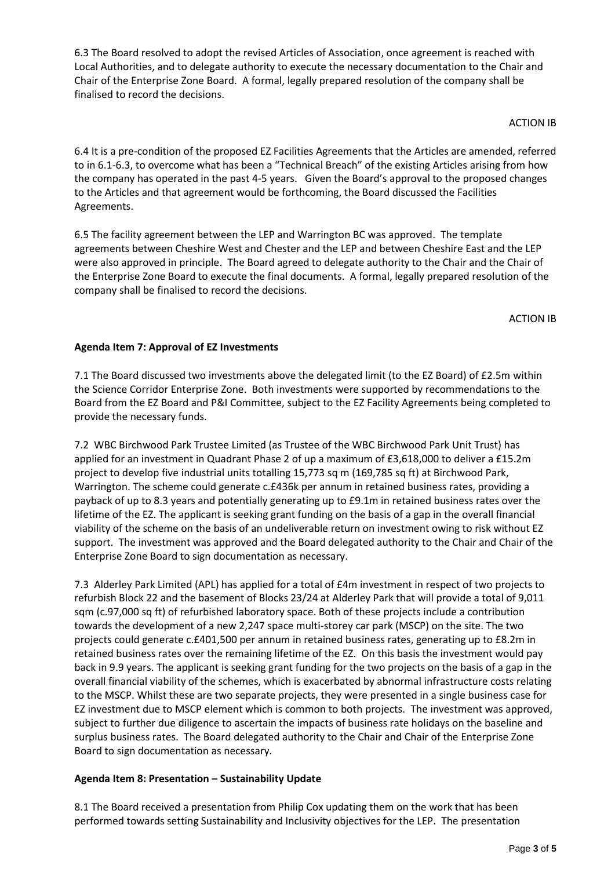6.3 The Board resolved to adopt the revised Articles of Association, once agreement is reached with Local Authorities, and to delegate authority to execute the necessary documentation to the Chair and Chair of the Enterprise Zone Board. A formal, legally prepared resolution of the company shall be finalised to record the decisions.

ACTION IB

6.4 It is a pre-condition of the proposed EZ Facilities Agreements that the Articles are amended, referred to in 6.1-6.3, to overcome what has been a "Technical Breach" of the existing Articles arising from how the company has operated in the past 4-5 years. Given the Board's approval to the proposed changes to the Articles and that agreement would be forthcoming, the Board discussed the Facilities Agreements.

6.5 The facility agreement between the LEP and Warrington BC was approved. The template agreements between Cheshire West and Chester and the LEP and between Cheshire East and the LEP were also approved in principle. The Board agreed to delegate authority to the Chair and the Chair of the Enterprise Zone Board to execute the final documents. A formal, legally prepared resolution of the company shall be finalised to record the decisions.

ACTION IB

# **Agenda Item 7: Approval of EZ Investments**

7.1 The Board discussed two investments above the delegated limit (to the EZ Board) of £2.5m within the Science Corridor Enterprise Zone. Both investments were supported by recommendations to the Board from the EZ Board and P&I Committee, subject to the EZ Facility Agreements being completed to provide the necessary funds.

7.2 WBC Birchwood Park Trustee Limited (as Trustee of the WBC Birchwood Park Unit Trust) has applied for an investment in Quadrant Phase 2 of up a maximum of £3,618,000 to deliver a £15.2m project to develop five industrial units totalling 15,773 sq m (169,785 sq ft) at Birchwood Park, Warrington. The scheme could generate c.£436k per annum in retained business rates, providing a payback of up to 8.3 years and potentially generating up to £9.1m in retained business rates over the lifetime of the EZ. The applicant is seeking grant funding on the basis of a gap in the overall financial viability of the scheme on the basis of an undeliverable return on investment owing to risk without EZ support. The investment was approved and the Board delegated authority to the Chair and Chair of the Enterprise Zone Board to sign documentation as necessary.

7.3 Alderley Park Limited (APL) has applied for a total of £4m investment in respect of two projects to refurbish Block 22 and the basement of Blocks 23/24 at Alderley Park that will provide a total of 9,011 sqm (c.97,000 sq ft) of refurbished laboratory space. Both of these projects include a contribution towards the development of a new 2,247 space multi-storey car park (MSCP) on the site. The two projects could generate c.£401,500 per annum in retained business rates, generating up to £8.2m in retained business rates over the remaining lifetime of the EZ. On this basis the investment would pay back in 9.9 years. The applicant is seeking grant funding for the two projects on the basis of a gap in the overall financial viability of the schemes, which is exacerbated by abnormal infrastructure costs relating to the MSCP. Whilst these are two separate projects, they were presented in a single business case for EZ investment due to MSCP element which is common to both projects. The investment was approved, subject to further due diligence to ascertain the impacts of business rate holidays on the baseline and surplus business rates. The Board delegated authority to the Chair and Chair of the Enterprise Zone Board to sign documentation as necessary.

# **Agenda Item 8: Presentation – Sustainability Update**

8.1 The Board received a presentation from Philip Cox updating them on the work that has been performed towards setting Sustainability and Inclusivity objectives for the LEP. The presentation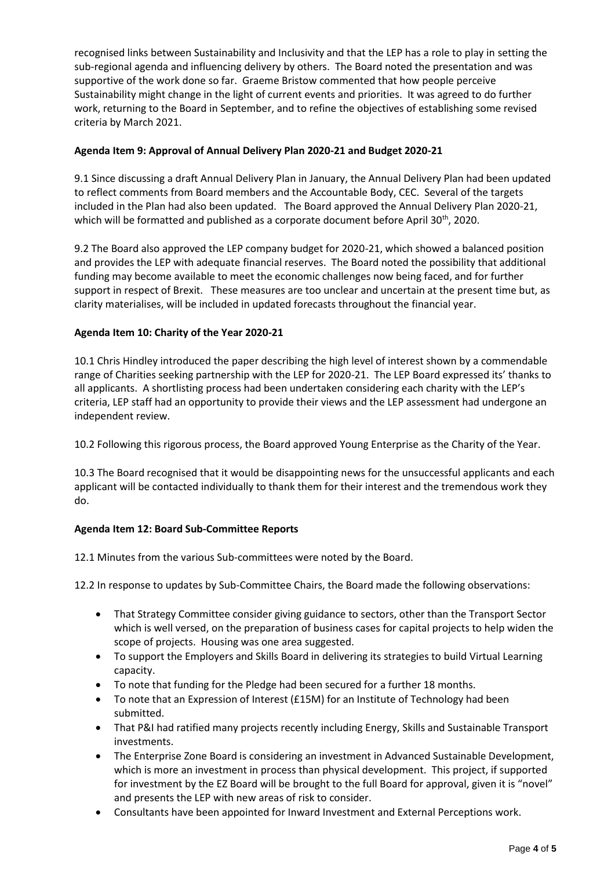recognised links between Sustainability and Inclusivity and that the LEP has a role to play in setting the sub-regional agenda and influencing delivery by others. The Board noted the presentation and was supportive of the work done so far. Graeme Bristow commented that how people perceive Sustainability might change in the light of current events and priorities. It was agreed to do further work, returning to the Board in September, and to refine the objectives of establishing some revised criteria by March 2021.

### **Agenda Item 9: Approval of Annual Delivery Plan 2020-21 and Budget 2020-21**

9.1 Since discussing a draft Annual Delivery Plan in January, the Annual Delivery Plan had been updated to reflect comments from Board members and the Accountable Body, CEC. Several of the targets included in the Plan had also been updated. The Board approved the Annual Delivery Plan 2020-21, which will be formatted and published as a corporate document before April 30<sup>th</sup>, 2020.

9.2 The Board also approved the LEP company budget for 2020-21, which showed a balanced position and provides the LEP with adequate financial reserves. The Board noted the possibility that additional funding may become available to meet the economic challenges now being faced, and for further support in respect of Brexit. These measures are too unclear and uncertain at the present time but, as clarity materialises, will be included in updated forecasts throughout the financial year.

### **Agenda Item 10: Charity of the Year 2020-21**

10.1 Chris Hindley introduced the paper describing the high level of interest shown by a commendable range of Charities seeking partnership with the LEP for 2020-21. The LEP Board expressed its' thanks to all applicants. A shortlisting process had been undertaken considering each charity with the LEP's criteria, LEP staff had an opportunity to provide their views and the LEP assessment had undergone an independent review.

10.2 Following this rigorous process, the Board approved Young Enterprise as the Charity of the Year.

10.3 The Board recognised that it would be disappointing news for the unsuccessful applicants and each applicant will be contacted individually to thank them for their interest and the tremendous work they do.

## **Agenda Item 12: Board Sub-Committee Reports**

12.1 Minutes from the various Sub-committees were noted by the Board.

12.2 In response to updates by Sub-Committee Chairs, the Board made the following observations:

- That Strategy Committee consider giving guidance to sectors, other than the Transport Sector which is well versed, on the preparation of business cases for capital projects to help widen the scope of projects. Housing was one area suggested.
- To support the Employers and Skills Board in delivering its strategies to build Virtual Learning capacity.
- To note that funding for the Pledge had been secured for a further 18 months.
- To note that an Expression of Interest (£15M) for an Institute of Technology had been submitted.
- That P&I had ratified many projects recently including Energy, Skills and Sustainable Transport investments.
- The Enterprise Zone Board is considering an investment in Advanced Sustainable Development, which is more an investment in process than physical development. This project, if supported for investment by the EZ Board will be brought to the full Board for approval, given it is "novel" and presents the LEP with new areas of risk to consider.
- Consultants have been appointed for Inward Investment and External Perceptions work.